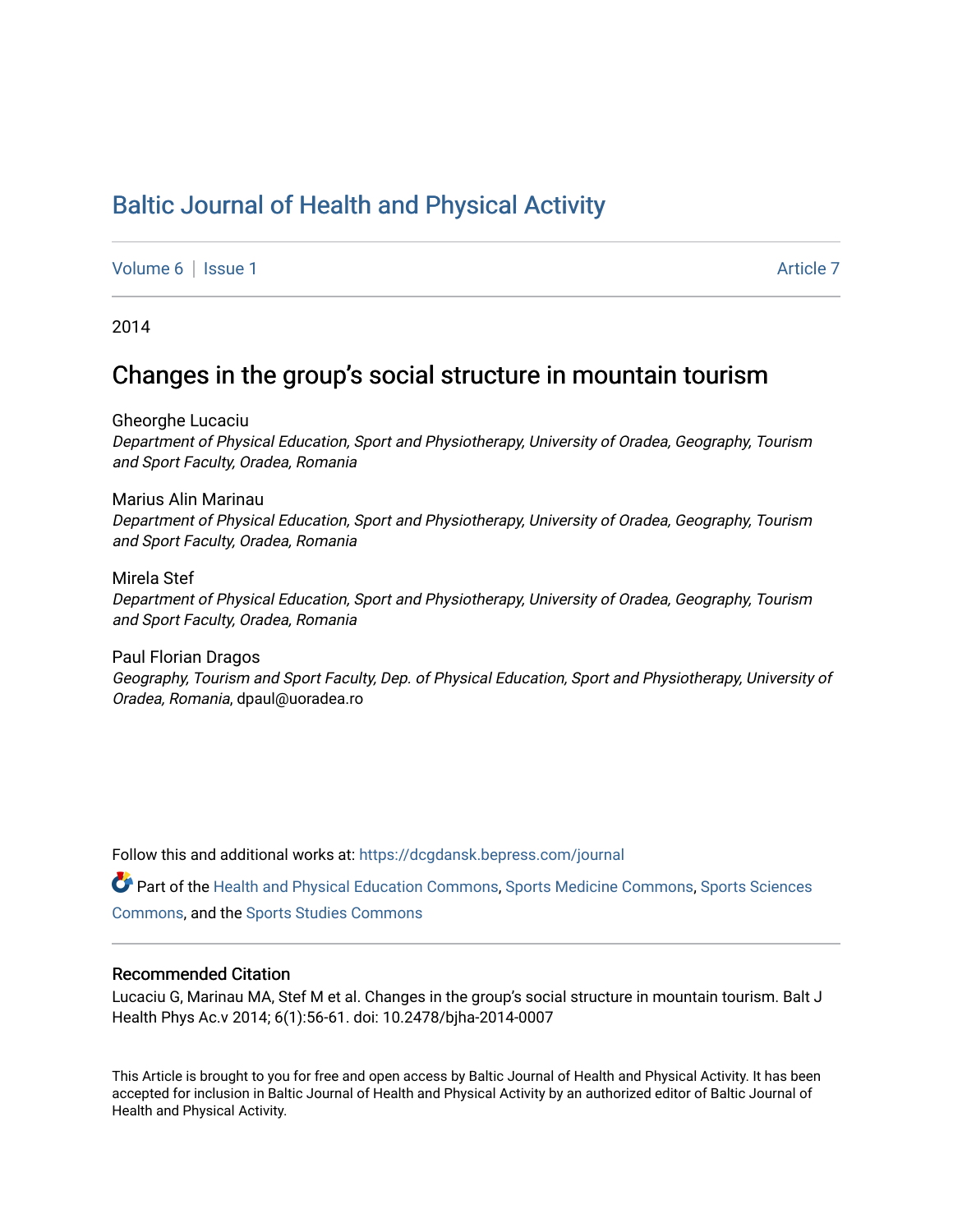# [Baltic Journal of Health and Physical Activity](https://dcgdansk.bepress.com/journal)

[Volume 6](https://dcgdansk.bepress.com/journal/vol6) | [Issue 1](https://dcgdansk.bepress.com/journal/vol6/iss1) Article 7

2014

# Changes in the group's social structure in mountain tourism

Gheorghe Lucaciu Department of Physical Education, Sport and Physiotherapy, University of Oradea, Geography, Tourism and Sport Faculty, Oradea, Romania

Marius Alin Marinau Department of Physical Education, Sport and Physiotherapy, University of Oradea, Geography, Tourism and Sport Faculty, Oradea, Romania

Mirela Stef Department of Physical Education, Sport and Physiotherapy, University of Oradea, Geography, Tourism and Sport Faculty, Oradea, Romania

Paul Florian Dragos Geography, Tourism and Sport Faculty, Dep. of Physical Education, Sport and Physiotherapy, University of Oradea, Romania, dpaul@uoradea.ro

Follow this and additional works at: [https://dcgdansk.bepress.com/journal](https://dcgdansk.bepress.com/journal?utm_source=dcgdansk.bepress.com%2Fjournal%2Fvol6%2Fiss1%2F7&utm_medium=PDF&utm_campaign=PDFCoverPages)

Part of the [Health and Physical Education Commons](http://network.bepress.com/hgg/discipline/1327?utm_source=dcgdansk.bepress.com%2Fjournal%2Fvol6%2Fiss1%2F7&utm_medium=PDF&utm_campaign=PDFCoverPages), [Sports Medicine Commons,](http://network.bepress.com/hgg/discipline/1331?utm_source=dcgdansk.bepress.com%2Fjournal%2Fvol6%2Fiss1%2F7&utm_medium=PDF&utm_campaign=PDFCoverPages) [Sports Sciences](http://network.bepress.com/hgg/discipline/759?utm_source=dcgdansk.bepress.com%2Fjournal%2Fvol6%2Fiss1%2F7&utm_medium=PDF&utm_campaign=PDFCoverPages) [Commons](http://network.bepress.com/hgg/discipline/759?utm_source=dcgdansk.bepress.com%2Fjournal%2Fvol6%2Fiss1%2F7&utm_medium=PDF&utm_campaign=PDFCoverPages), and the [Sports Studies Commons](http://network.bepress.com/hgg/discipline/1198?utm_source=dcgdansk.bepress.com%2Fjournal%2Fvol6%2Fiss1%2F7&utm_medium=PDF&utm_campaign=PDFCoverPages) 

### Recommended Citation

Lucaciu G, Marinau MA, Stef M et al. Changes in the group's social structure in mountain tourism. Balt J Health Phys Ac.v 2014; 6(1):56-61. doi: 10.2478/bjha-2014-0007

This Article is brought to you for free and open access by Baltic Journal of Health and Physical Activity. It has been accepted for inclusion in Baltic Journal of Health and Physical Activity by an authorized editor of Baltic Journal of Health and Physical Activity.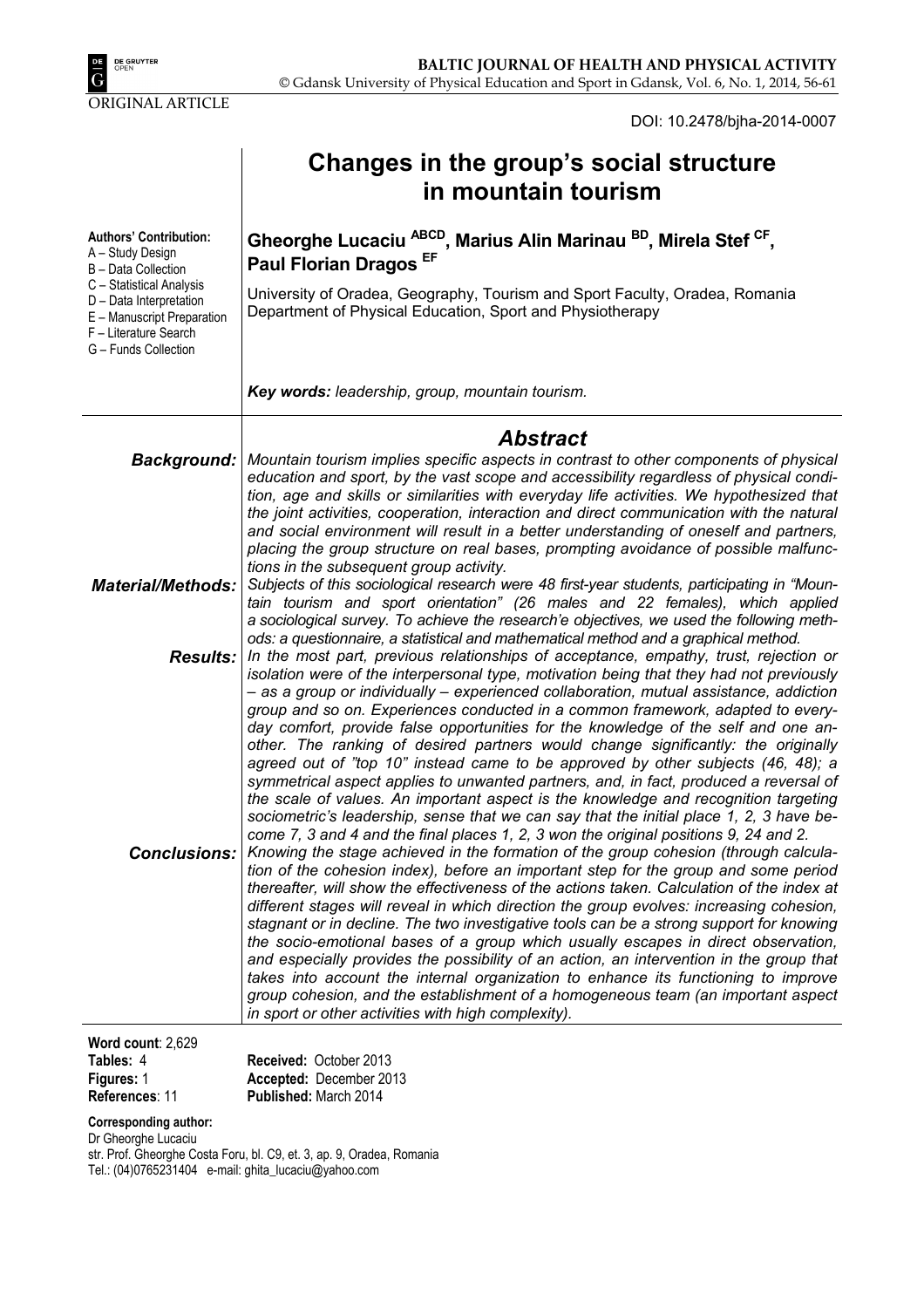DOI: 10.2478/bjha-2014-0007

|                                                                                                                                                                                                                | Changes in the group's social structure<br>in mountain tourism                                                                                                                                                                                                                                                                                                                                                                                                                                                                                                                                                                                                                                                                                                                                                                                                                                                                                                                                                                                                                                                                                                                                                                                                                                                                                                                                                                                                                                                                       |
|----------------------------------------------------------------------------------------------------------------------------------------------------------------------------------------------------------------|--------------------------------------------------------------------------------------------------------------------------------------------------------------------------------------------------------------------------------------------------------------------------------------------------------------------------------------------------------------------------------------------------------------------------------------------------------------------------------------------------------------------------------------------------------------------------------------------------------------------------------------------------------------------------------------------------------------------------------------------------------------------------------------------------------------------------------------------------------------------------------------------------------------------------------------------------------------------------------------------------------------------------------------------------------------------------------------------------------------------------------------------------------------------------------------------------------------------------------------------------------------------------------------------------------------------------------------------------------------------------------------------------------------------------------------------------------------------------------------------------------------------------------------|
| <b>Authors' Contribution:</b><br>A - Study Design<br>B - Data Collection<br>C - Statistical Analysis<br>D - Data Interpretation<br>E - Manuscript Preparation<br>F - Literature Search<br>G - Funds Collection | Gheorghe Lucaciu <sup>ABCD</sup> , Marius Alin Marinau <sup>BD</sup> , Mirela Stef <sup>CF</sup> ,<br>Paul Florian Dragos EF<br>University of Oradea, Geography, Tourism and Sport Faculty, Oradea, Romania<br>Department of Physical Education, Sport and Physiotherapy                                                                                                                                                                                                                                                                                                                                                                                                                                                                                                                                                                                                                                                                                                                                                                                                                                                                                                                                                                                                                                                                                                                                                                                                                                                             |
|                                                                                                                                                                                                                | Key words: leadership, group, mountain tourism.                                                                                                                                                                                                                                                                                                                                                                                                                                                                                                                                                                                                                                                                                                                                                                                                                                                                                                                                                                                                                                                                                                                                                                                                                                                                                                                                                                                                                                                                                      |
|                                                                                                                                                                                                                | <b>Abstract</b><br>Background:   Mountain tourism implies specific aspects in contrast to other components of physical<br>education and sport, by the vast scope and accessibility regardless of physical condi-                                                                                                                                                                                                                                                                                                                                                                                                                                                                                                                                                                                                                                                                                                                                                                                                                                                                                                                                                                                                                                                                                                                                                                                                                                                                                                                     |
| <b>Material/Methods:</b>                                                                                                                                                                                       | tion, age and skills or similarities with everyday life activities. We hypothesized that<br>the joint activities, cooperation, interaction and direct communication with the natural<br>and social environment will result in a better understanding of oneself and partners,<br>placing the group structure on real bases, prompting avoidance of possible malfunc-<br>tions in the subsequent group activity.<br>Subjects of this sociological research were 48 first-year students, participating in "Moun-<br>tain tourism and sport orientation" (26 males and 22 females), which applied<br>a sociological survey. To achieve the research'e objectives, we used the following meth-                                                                                                                                                                                                                                                                                                                                                                                                                                                                                                                                                                                                                                                                                                                                                                                                                                           |
|                                                                                                                                                                                                                | ods: a questionnaire, a statistical and mathematical method and a graphical method.<br><b>Results:</b> In the most part, previous relationships of acceptance, empathy, trust, rejection or<br>isolation were of the interpersonal type, motivation being that they had not previously<br>- as a group or individually - experienced collaboration, mutual assistance, addiction<br>group and so on. Experiences conducted in a common framework, adapted to every-                                                                                                                                                                                                                                                                                                                                                                                                                                                                                                                                                                                                                                                                                                                                                                                                                                                                                                                                                                                                                                                                  |
|                                                                                                                                                                                                                | day comfort, provide false opportunities for the knowledge of the self and one an-<br>other. The ranking of desired partners would change significantly: the originally<br>agreed out of "top 10" instead came to be approved by other subjects (46, 48); a<br>symmetrical aspect applies to unwanted partners, and, in fact, produced a reversal of<br>the scale of values. An important aspect is the knowledge and recognition targeting<br>sociometric's leadership, sense that we can say that the initial place 1, 2, 3 have be-<br>come 7, 3 and 4 and the final places 1, 2, 3 won the original positions 9, 24 and 2.<br><b>Conclusions:</b> Knowing the stage achieved in the formation of the group cohesion (through calcula-<br>tion of the cohesion index), before an important step for the group and some period<br>thereafter, will show the effectiveness of the actions taken. Calculation of the index at<br>different stages will reveal in which direction the group evolves: increasing cohesion,<br>stagnant or in decline. The two investigative tools can be a strong support for knowing<br>the socio-emotional bases of a group which usually escapes in direct observation,<br>and especially provides the possibility of an action, an intervention in the group that<br>takes into account the internal organization to enhance its functioning to improve<br>group cohesion, and the establishment of a homogeneous team (an important aspect<br>in sport or other activities with high complexity). |
| Word count: 2,629                                                                                                                                                                                              |                                                                                                                                                                                                                                                                                                                                                                                                                                                                                                                                                                                                                                                                                                                                                                                                                                                                                                                                                                                                                                                                                                                                                                                                                                                                                                                                                                                                                                                                                                                                      |

| <b>Received: October 2013</b> |
|-------------------------------|
| Accepted: December 2013       |
| <b>Published: March 2014</b>  |
|                               |

# **Corresponding author:**

Dr Gheorghe Lucaciu

str. Prof. Gheorghe Costa Foru, bl. C9, et. 3, ap. 9, Oradea, Romania Tel.: (04)0765231404 e-mail: ghita\_lucaciu@yahoo.com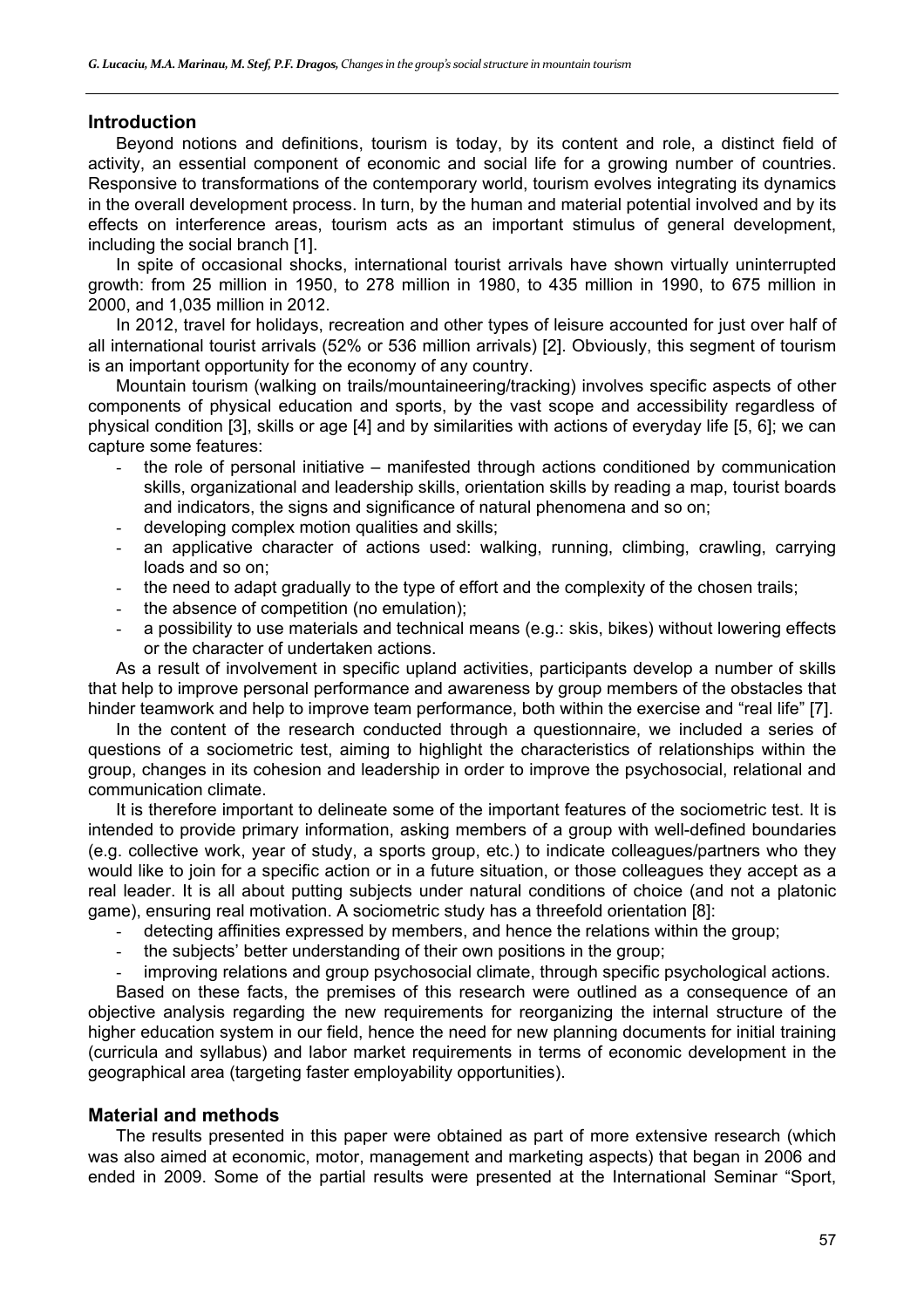## **Introduction**

Beyond notions and definitions, tourism is today, by its content and role, a distinct field of activity, an essential component of economic and social life for a growing number of countries. Responsive to transformations of the contemporary world, tourism evolves integrating its dynamics in the overall development process. In turn, by the human and material potential involved and by its effects on interference areas, tourism acts as an important stimulus of general development, including the social branch [1].

In spite of occasional shocks, international tourist arrivals have shown virtually uninterrupted growth: from 25 million in 1950, to 278 million in 1980, to 435 million in 1990, to 675 million in 2000, and 1,035 million in 2012.

In 2012, travel for holidays, recreation and other types of leisure accounted for just over half of all international tourist arrivals (52% or 536 million arrivals) [2]. Obviously, this segment of tourism is an important opportunity for the economy of any country.

Mountain tourism (walking on trails/mountaineering/tracking) involves specific aspects of other components of physical education and sports, by the vast scope and accessibility regardless of physical condition [3], skills or age [4] and by similarities with actions of everyday life [5, 6]; we can capture some features:

- the role of personal initiative  $-$  manifested through actions conditioned by communication skills, organizational and leadership skills, orientation skills by reading a map, tourist boards and indicators, the signs and significance of natural phenomena and so on;
- developing complex motion qualities and skills;
- an applicative character of actions used: walking, running, climbing, crawling, carrying loads and so on;
- the need to adapt gradually to the type of effort and the complexity of the chosen trails;
- the absence of competition (no emulation);
- a possibility to use materials and technical means (e.g.: skis, bikes) without lowering effects or the character of undertaken actions.

As a result of involvement in specific upland activities, participants develop a number of skills that help to improve personal performance and awareness by group members of the obstacles that hinder teamwork and help to improve team performance, both within the exercise and "real life" [7].

In the content of the research conducted through a questionnaire, we included a series of questions of a sociometric test, aiming to highlight the characteristics of relationships within the group, changes in its cohesion and leadership in order to improve the psychosocial, relational and communication climate.

It is therefore important to delineate some of the important features of the sociometric test. It is intended to provide primary information, asking members of a group with well-defined boundaries (e.g. collective work, year of study, a sports group, etc.) to indicate colleagues/partners who they would like to join for a specific action or in a future situation, or those colleagues they accept as a real leader. It is all about putting subjects under natural conditions of choice (and not a platonic game), ensuring real motivation. A sociometric study has a threefold orientation [8]:

- detecting affinities expressed by members, and hence the relations within the group;
- the subjects' better understanding of their own positions in the group;
- improving relations and group psychosocial climate, through specific psychological actions.

Based on these facts, the premises of this research were outlined as a consequence of an objective analysis regarding the new requirements for reorganizing the internal structure of the higher education system in our field, hence the need for new planning documents for initial training (curricula and syllabus) and labor market requirements in terms of economic development in the geographical area (targeting faster employability opportunities).

## **Material and methods**

The results presented in this paper were obtained as part of more extensive research (which was also aimed at economic, motor, management and marketing aspects) that began in 2006 and ended in 2009. Some of the partial results were presented at the International Seminar "Sport,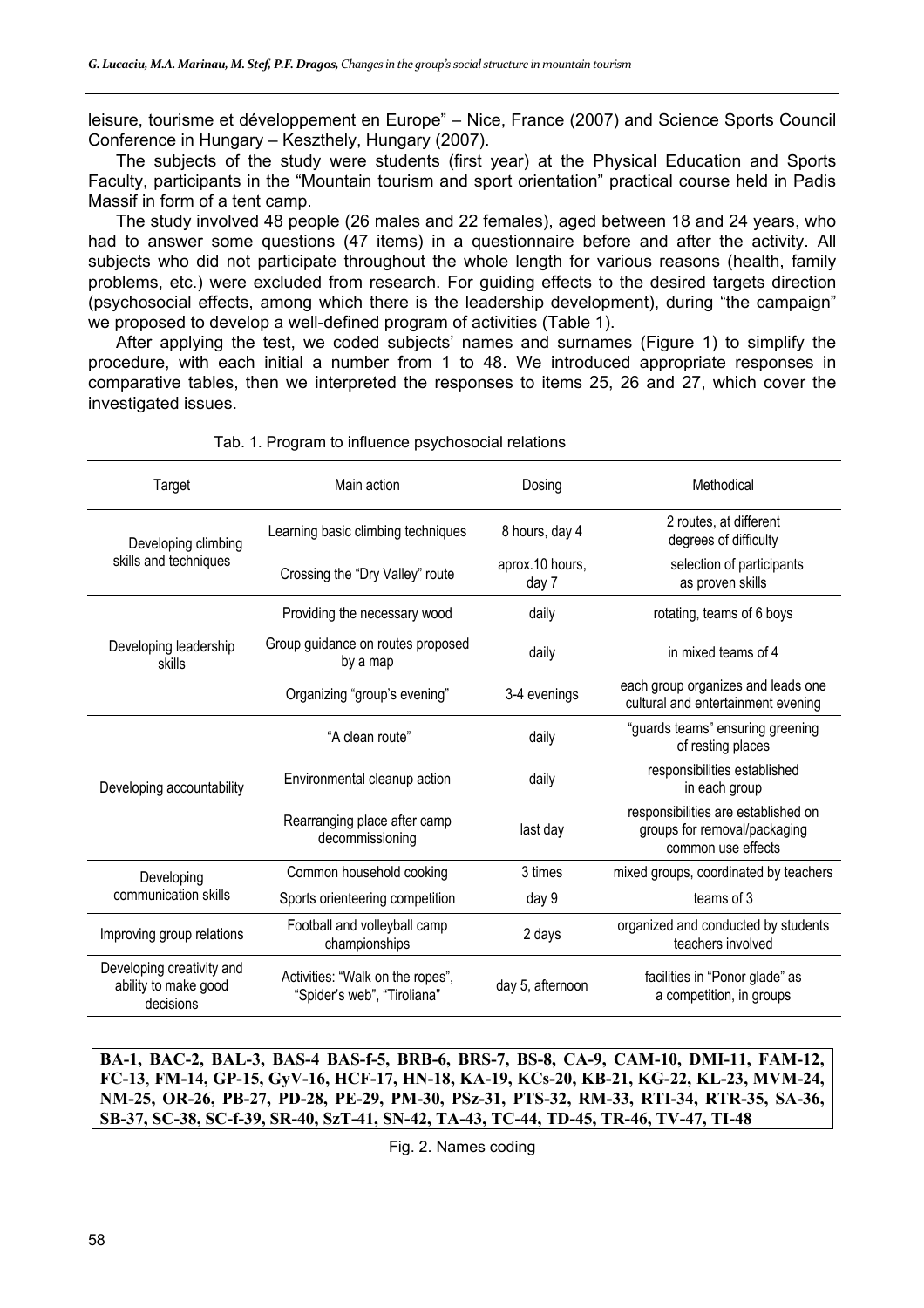leisure, tourisme et développement en Europe" – Nice, France (2007) and Science Sports Council Conference in Hungary – Keszthely, Hungary (2007).

The subjects of the study were students (first year) at the Physical Education and Sports Faculty, participants in the "Mountain tourism and sport orientation" practical course held in Padis Massif in form of a tent camp.

The study involved 48 people (26 males and 22 females), aged between 18 and 24 years, who had to answer some questions (47 items) in a questionnaire before and after the activity. All subjects who did not participate throughout the whole length for various reasons (health, family problems, etc.) were excluded from research. For guiding effects to the desired targets direction (psychosocial effects, among which there is the leadership development), during "the campaign" we proposed to develop a well-defined program of activities (Table 1).

After applying the test, we coded subjects' names and surnames (Figure 1) to simplify the procedure, with each initial a number from 1 to 48. We introduced appropriate responses in comparative tables, then we interpreted the responses to items 25, 26 and 27, which cover the investigated issues.

| Target                                                         | Main action                                                     | Dosing                   | Methodical                                                                                |
|----------------------------------------------------------------|-----------------------------------------------------------------|--------------------------|-------------------------------------------------------------------------------------------|
| Developing climbing                                            | Learning basic climbing techniques                              | 8 hours, day 4           | 2 routes, at different<br>degrees of difficulty                                           |
| skills and techniques                                          | Crossing the "Dry Valley" route                                 | aprox.10 hours,<br>day 7 | selection of participants<br>as proven skills                                             |
|                                                                | Providing the necessary wood                                    | daily                    | rotating, teams of 6 boys                                                                 |
| Developing leadership<br>skills                                | Group guidance on routes proposed<br>by a map                   | daily                    | in mixed teams of 4                                                                       |
|                                                                | Organizing "group's evening"                                    | 3-4 evenings             | each group organizes and leads one<br>cultural and entertainment evening                  |
|                                                                | "A clean route"                                                 | daily                    | "guards teams" ensuring greening<br>of resting places                                     |
| Developing accountability                                      | Environmental cleanup action                                    | daily                    | responsibilities established<br>in each group                                             |
|                                                                | Rearranging place after camp<br>decommissioning                 | last day                 | responsibilities are established on<br>groups for removal/packaging<br>common use effects |
| Developing                                                     | Common household cooking                                        | 3 times                  | mixed groups, coordinated by teachers                                                     |
| communication skills                                           | Sports orienteering competition                                 | day 9                    | teams of 3                                                                                |
| Improving group relations                                      | Football and volleyball camp<br>championships                   | 2 days                   | organized and conducted by students<br>teachers involved                                  |
| Developing creativity and<br>ability to make good<br>decisions | Activities: "Walk on the ropes",<br>"Spider's web", "Tiroliana" | day 5, afternoon         | facilities in "Ponor glade" as<br>a competition, in groups                                |

#### Tab. 1. Program to influence psychosocial relations

**BA-1, BAC-2, BAL-3, BAS-4 BAS-f-5, BRB-6, BRS-7, BS-8, CA-9, CAM-10, DMI-11, FAM-12, FC-13**, **FM-14, GP-15, GyV-16, HCF-17, HN-18, KA-19, KCs-20, KB-21, KG-22, KL-23, MVM-24, NM-25, OR-26, PB-27, PD-28, PE-29, PM-30, PSz-31, PTS-32, RM-33, RTI-34, RTR-35, SA-36, SB-37, SC-38, SC-f-39, SR-40, SzT-41, SN-42, TA-43, TC-44, TD-45, TR-46, TV-47, TI-48** 

Fig. 2. Names coding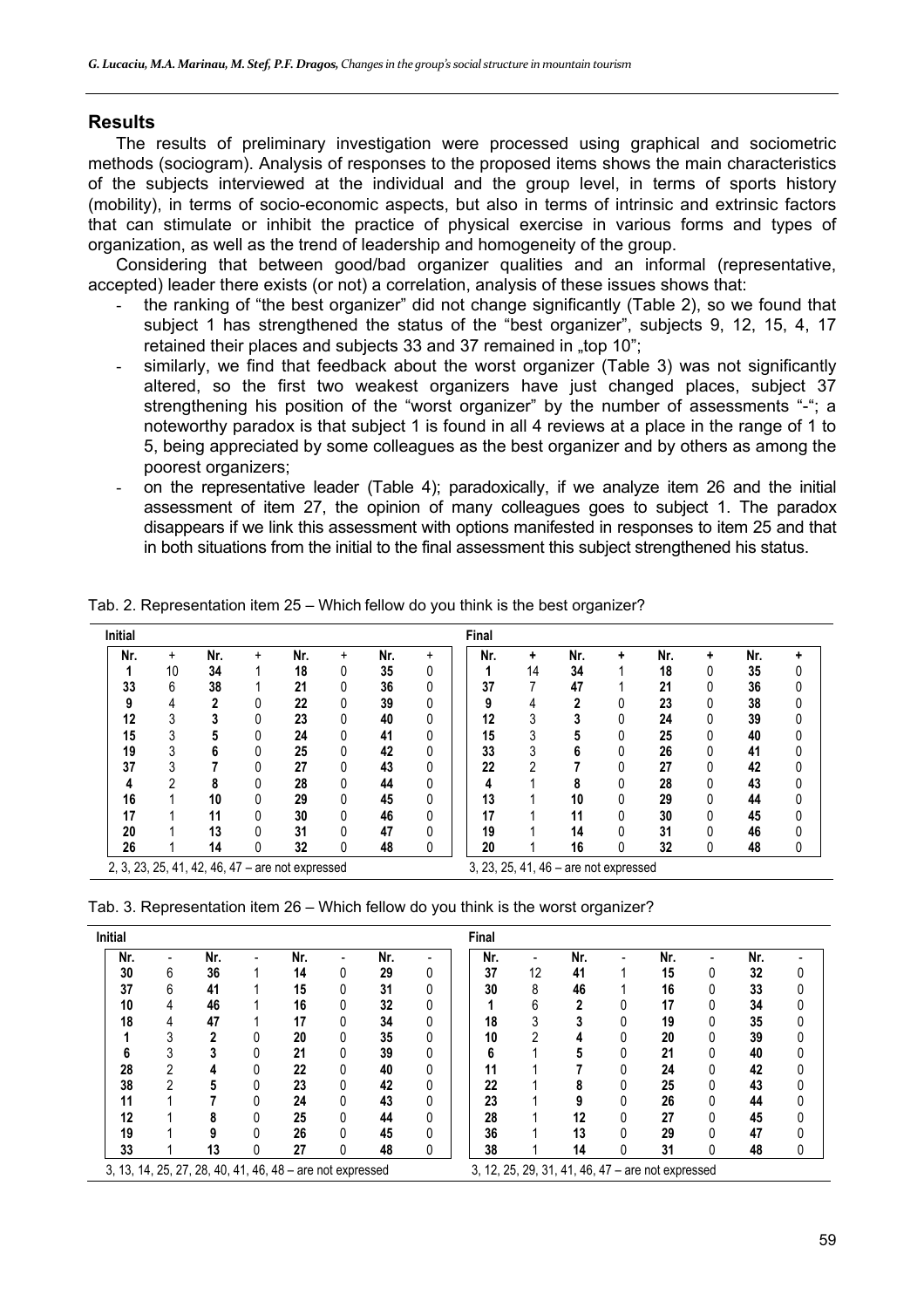## **Results**

The results of preliminary investigation were processed using graphical and sociometric methods (sociogram). Analysis of responses to the proposed items shows the main characteristics of the subjects interviewed at the individual and the group level, in terms of sports history (mobility), in terms of socio-economic aspects, but also in terms of intrinsic and extrinsic factors that can stimulate or inhibit the practice of physical exercise in various forms and types of organization, as well as the trend of leadership and homogeneity of the group.

Considering that between good/bad organizer qualities and an informal (representative, accepted) leader there exists (or not) a correlation, analysis of these issues shows that:

- the ranking of "the best organizer" did not change significantly (Table 2), so we found that subject 1 has strengthened the status of the "best organizer", subjects 9, 12, 15, 4, 17 retained their places and subjects 33 and 37 remained in .top 10";
- similarly, we find that feedback about the worst organizer (Table 3) was not significantly altered, so the first two weakest organizers have just changed places, subject 37 strengthening his position of the "worst organizer" by the number of assessments "-"; a noteworthy paradox is that subject 1 is found in all 4 reviews at a place in the range of 1 to 5, being appreciated by some colleagues as the best organizer and by others as among the poorest organizers;
- on the representative leader (Table 4); paradoxically, if we analyze item 26 and the initial assessment of item 27, the opinion of many colleagues goes to subject 1. The paradox disappears if we link this assessment with options manifested in responses to item 25 and that in both situations from the initial to the final assessment this subject strengthened his status.

| <b>Initial</b> |    |     |   |                                                  |   |     |   | Final |    |                                       |   |     |   |     |   |
|----------------|----|-----|---|--------------------------------------------------|---|-----|---|-------|----|---------------------------------------|---|-----|---|-----|---|
| Nr.            | +  | Nr. | ÷ | Nr.                                              | ÷ | Nr. | ÷ | Nr.   | ۰  | Nr.                                   | ٠ | Nr. | ٠ | Nr. | ٠ |
|                | 10 | 34  |   | 18                                               | 0 | 35  | 0 |       | 14 | 34                                    |   | 18  | 0 | 35  |   |
| 33             | 6  | 38  |   | 21                                               |   | 36  | 0 | 37    |    | 47                                    |   | 21  |   | 36  |   |
| 9              |    | 2   | 0 | 22                                               |   | 39  | 0 |       |    | າ                                     |   | 23  |   | 38  |   |
| 12             | 3  |     | 0 | 23                                               |   | 40  | 0 | 12    |    |                                       |   | 24  | 0 | 39  |   |
| 15             | 3  |     | 0 | 24                                               |   | 41  | 0 | 15    | 3  |                                       |   | 25  |   | 40  |   |
| 19             | 3  | 6   | 0 | 25                                               |   | 42  | 0 | 33    |    |                                       |   | 26  |   | 41  |   |
| 37             | ◠  |     | 0 | 27                                               |   | 43  | 0 | 22    | 2  |                                       |   | 27  |   | 42  |   |
|                | ∩  |     | 0 | 28                                               |   | 44  | 0 |       |    |                                       |   | 28  |   | 43  |   |
| 16             |    | 10  | 0 | 29                                               |   | 45  | 0 | 13    |    | 10                                    |   | 29  | 0 | 44  |   |
| 17             |    | 11  | 0 | 30                                               |   | 46  | 0 | 17    |    | 11                                    |   | 30  |   | 45  |   |
| 20             |    | 13  | 0 | 31                                               |   | 47  | 0 | 19    |    | 14                                    |   | 31  | 0 | 46  |   |
| 26             |    | 14  | 0 | 32                                               |   | 48  | 0 | 20    |    | 16                                    | 0 | 32  | 0 | 48  | 0 |
|                |    |     |   | 2, 3, 23, 25, 41, 42, 46, 47 - are not expressed |   |     |   |       |    | 3, 23, 25, 41, 46 - are not expressed |   |     |   |     |   |

Tab. 2. Representation item 25 – Which fellow do you think is the best organizer?

|  | Tab. 3. Representation item 26 - Which fellow do you think is the worst organizer? |
|--|------------------------------------------------------------------------------------|
|--|------------------------------------------------------------------------------------|

| <b>Initial</b> |   |                                                           |     |                          |     |          | Final |    |     |   |                                                   |     |   |
|----------------|---|-----------------------------------------------------------|-----|--------------------------|-----|----------|-------|----|-----|---|---------------------------------------------------|-----|---|
| Nr.            |   | Nr.                                                       | Nr. | $\overline{\phantom{0}}$ | Nr. |          | Nr.   |    | Nr. |   | Nr.                                               | Nr. |   |
| 30             | 6 | 36                                                        | 14  | 0                        | 29  | 0        | 37    | 12 | 41  |   | 15                                                | 32  | 0 |
| 37             | 6 | 41                                                        | 15  |                          | 31  |          | 30    | 8  | 46  |   | 16                                                | 33  | 0 |
| 10             | 4 | 46                                                        | 16  |                          | 32  | 0        |       | 6  | າ   |   | 17                                                | 34  | 0 |
| 18             | 4 | 47                                                        | 17  |                          | 34  | 0        | 18    |    |     |   | 19                                                | 35  | 0 |
|                |   | 2                                                         | 20  | 0                        | 35  |          | 10    | ∩  | 4   |   | 20                                                | 39  | 0 |
| 6              |   |                                                           | 21  |                          | 39  | $\Omega$ | 6     |    |     |   | 21                                                | 40  | 0 |
| 28             | C |                                                           | 22  |                          | 40  | Ŋ        | 11    |    |     | 0 | 24                                                | 42  | 0 |
| 38             | ∩ |                                                           | 23  | 0                        | 42  |          | 22    |    | ō   | 0 | 25                                                | 43  | 0 |
| 11             |   |                                                           | 24  | 0                        | 43  | 0        | 23    |    |     |   | 26                                                | 44  | 0 |
| 12             |   | 8                                                         | 25  |                          | 44  | Ŋ        | 28    |    | 12  | 0 | 27                                                | 45  | 0 |
| 19             |   |                                                           | 26  |                          | 45  |          | 36    |    | 13  | 0 | 29                                                | 47  | 0 |
| 33             |   | 13                                                        | 27  | 0                        | 48  | 0        | 38    |    | 14  | 0 | 31                                                | 48  | 0 |
|                |   | 3, 13, 14, 25, 27, 28, 40, 41, 46, 48 - are not expressed |     |                          |     |          |       |    |     |   | 3, 12, 25, 29, 31, 41, 46, 47 - are not expressed |     |   |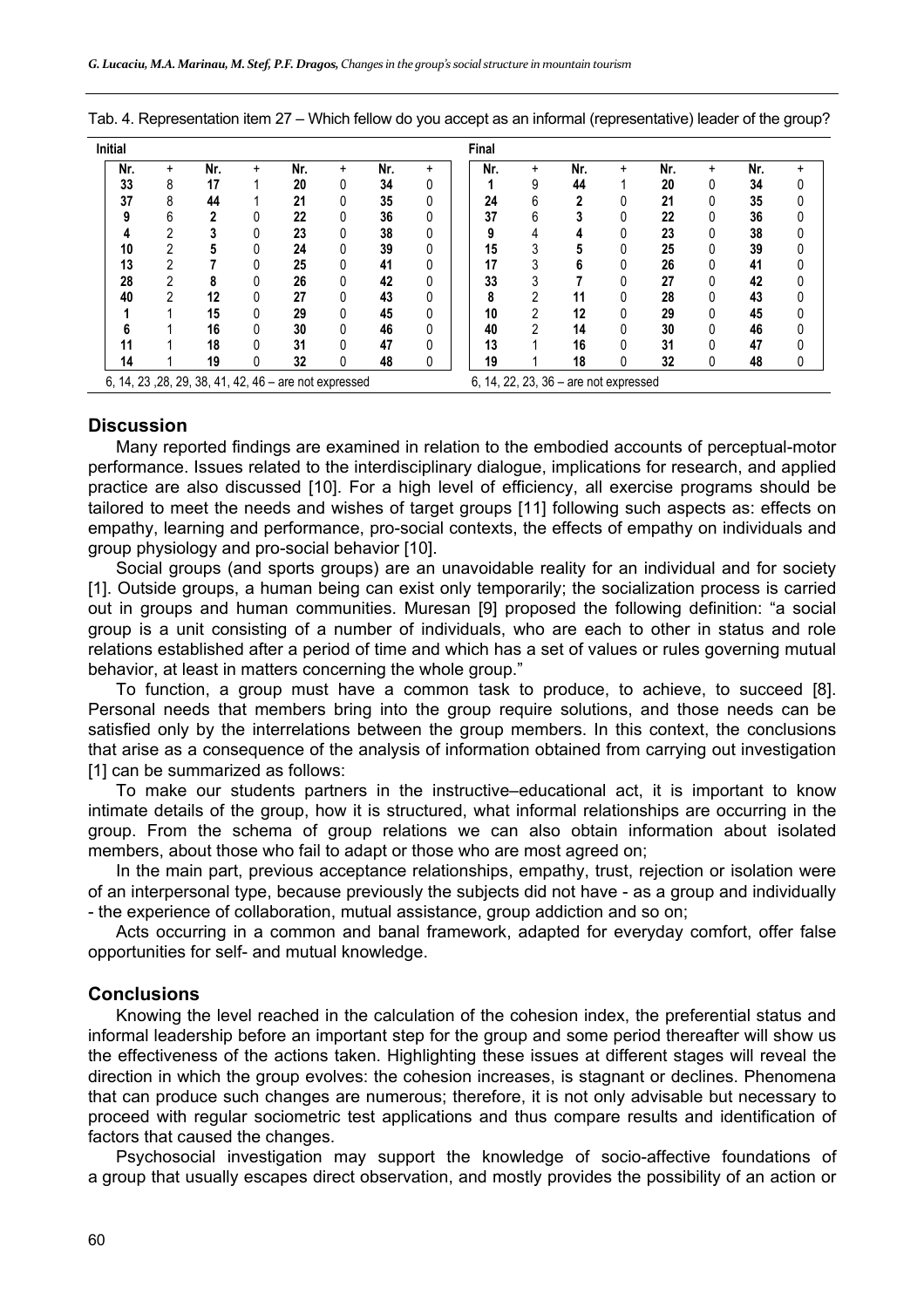| <b>Initial</b> |   |                                                       |   |     |   |     |   | Final |   |                                       |   |     |   |     |   |
|----------------|---|-------------------------------------------------------|---|-----|---|-----|---|-------|---|---------------------------------------|---|-----|---|-----|---|
| Nr.            | + | Nr.                                                   | ÷ | Nr. | ÷ | Nr. | + | Nr.   | + | Nr.                                   | + | Nr. | + | Nr. |   |
| 33             | 8 | 17                                                    |   | 20  | 0 | 34  | 0 |       | 9 | 44                                    |   | 20  |   | 34  | 0 |
| 37             | 8 | 44                                                    |   | 21  |   | 35  | 0 | 24    | 6 |                                       |   | 21  |   | 35  | 0 |
|                | h | 2                                                     |   | 22  |   | 36  | 0 | 37    | 6 |                                       |   | 22  |   | 36  | 0 |
|                | ∩ |                                                       | 0 | 23  | 0 | 38  | 0 | 9     |   | 4                                     |   | 23  |   | 38  | 0 |
| 10             | ∩ |                                                       | 0 | 24  |   | 39  | 0 | 15    |   |                                       |   | 25  |   | 39  | 0 |
| 13             | ∩ |                                                       | 0 | 25  |   | 41  | 0 | 17    |   | b                                     |   | 26  |   | 41  | 0 |
| 28             | າ | 8                                                     |   | 26  |   | 42  | 0 | 33    |   |                                       |   | 27  |   | 42  | 0 |
| 40             | ∩ | 12                                                    | 0 | 27  |   | 43  | 0 | 8     |   | 11                                    |   | 28  |   | 43  | 0 |
|                |   | 15                                                    | 0 | 29  |   | 45  | 0 | 10    | ∩ | 12                                    |   | 29  |   | 45  | 0 |
|                |   | 16                                                    | 0 | 30  |   | 46  | 0 | 40    | ŋ | 14                                    |   | 30  |   | 46  | 0 |
| 11             |   | 18                                                    | 0 | 31  |   | 47  | 0 | 13    |   | 16                                    |   | 31  |   | 47  | 0 |
| 14             |   | 19                                                    | 0 | 32  | 0 | 48  | 0 | 19    |   | 18                                    |   | 32  |   | 48  | 0 |
|                |   | 6, 14, 23, 28, 29, 38, 41, 42, 46 - are not expressed |   |     |   |     |   |       |   | 6, 14, 22, 23, 36 - are not expressed |   |     |   |     |   |

Tab. 4. Representation item 27 – Which fellow do you accept as an informal (representative) leader of the group?

## **Discussion**

Many reported findings are examined in relation to the embodied accounts of perceptual-motor performance. Issues related to the interdisciplinary dialogue, implications for research, and applied practice are also discussed [10]. For a high level of efficiency, all exercise programs should be tailored to meet the needs and wishes of target groups [11] following such aspects as: effects on empathy, learning and performance, pro-social contexts, the effects of empathy on individuals and group physiology and pro-social behavior [10].

Social groups (and sports groups) are an unavoidable reality for an individual and for society [1]. Outside groups, a human being can exist only temporarily; the socialization process is carried out in groups and human communities. Muresan [9] proposed the following definition: "a social group is a unit consisting of a number of individuals, who are each to other in status and role relations established after a period of time and which has a set of values or rules governing mutual behavior, at least in matters concerning the whole group."

To function, a group must have a common task to produce, to achieve, to succeed [8]. Personal needs that members bring into the group require solutions, and those needs can be satisfied only by the interrelations between the group members. In this context, the conclusions that arise as a consequence of the analysis of information obtained from carrying out investigation [1] can be summarized as follows:

To make our students partners in the instructive–educational act, it is important to know intimate details of the group, how it is structured, what informal relationships are occurring in the group. From the schema of group relations we can also obtain information about isolated members, about those who fail to adapt or those who are most agreed on;

In the main part, previous acceptance relationships, empathy, trust, rejection or isolation were of an interpersonal type, because previously the subjects did not have - as a group and individually - the experience of collaboration, mutual assistance, group addiction and so on;

Acts occurring in a common and banal framework, adapted for everyday comfort, offer false opportunities for self- and mutual knowledge.

### **Conclusions**

Knowing the level reached in the calculation of the cohesion index, the preferential status and informal leadership before an important step for the group and some period thereafter will show us the effectiveness of the actions taken. Highlighting these issues at different stages will reveal the direction in which the group evolves: the cohesion increases, is stagnant or declines. Phenomena that can produce such changes are numerous; therefore, it is not only advisable but necessary to proceed with regular sociometric test applications and thus compare results and identification of factors that caused the changes.

Psychosocial investigation may support the knowledge of socio-affective foundations of a group that usually escapes direct observation, and mostly provides the possibility of an action or